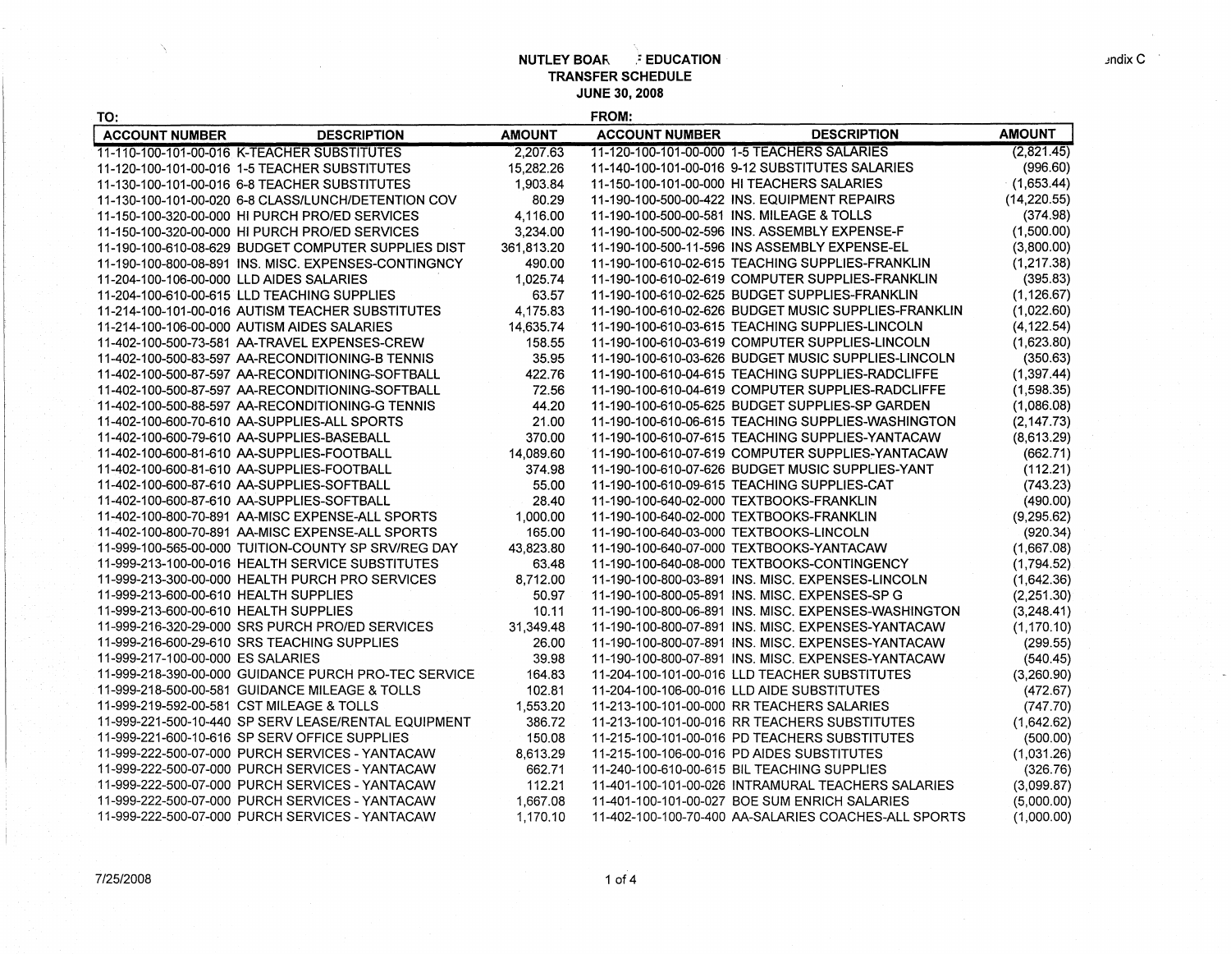| TO:                                   |                                                      |               | <b>FROM:</b>          |                                                      |               |
|---------------------------------------|------------------------------------------------------|---------------|-----------------------|------------------------------------------------------|---------------|
| <b>ACCOUNT NUMBER</b>                 | <b>DESCRIPTION</b>                                   | <b>AMOUNT</b> | <b>ACCOUNT NUMBER</b> | <b>DESCRIPTION</b>                                   | <b>AMOUNT</b> |
|                                       | 11-110-100-101-00-016 K-TEACHER SUBSTITUTES          | 2.207.63      |                       | 11-120-100-101-00-000 1-5 TEACHERS SALARIES          | (2,821.45)    |
|                                       | 11-120-100-101-00-016 1-5 TEACHER SUBSTITUTES        | 15,282.26     |                       | 11-140-100-101-00-016 9-12 SUBSTITUTES SALARIES      | (996.60)      |
|                                       | 11-130-100-101-00-016 6-8 TEACHER SUBSTITUTES        | 1,903.84      |                       | 11-150-100-101-00-000 HITEACHERS SALARIES            | (1,653.44)    |
|                                       | 11-130-100-101-00-020 6-8 CLASS/LUNCH/DETENTION COV  | 80.29         |                       | 11-190-100-500-00-422 INS. EQUIPMENT REPAIRS         | (14, 220.55)  |
|                                       | 11-150-100-320-00-000 HI PURCH PRO/ED SERVICES       | 4,116.00      |                       | 11-190-100-500-00-581 INS. MILEAGE & TOLLS           | (374.98)      |
|                                       | 11-150-100-320-00-000 HI PURCH PRO/ED SERVICES       | 3,234.00      |                       | 11-190-100-500-02-596 INS. ASSEMBLY EXPENSE-F        | (1,500.00)    |
|                                       | 11-190-100-610-08-629 BUDGET COMPUTER SUPPLIES DIST  | 361,813.20    |                       | 11-190-100-500-11-596 INS ASSEMBLY EXPENSE-EL        | (3,800.00)    |
|                                       | 11-190-100-800-08-891 INS. MISC. EXPENSES-CONTINGNCY | 490.00        |                       | 11-190-100-610-02-615 TEACHING SUPPLIES-FRANKLIN     | (1, 217.38)   |
|                                       | 11-204-100-106-00-000 LLD AIDES SALARIES             | 1,025.74      |                       | 11-190-100-610-02-619 COMPUTER SUPPLIES-FRANKLIN     | (395.83)      |
|                                       | 11-204-100-610-00-615 LLD TEACHING SUPPLIES          | 63.57         |                       | 11-190-100-610-02-625 BUDGET SUPPLIES-FRANKLIN       | (1, 126.67)   |
|                                       | 11-214-100-101-00-016 AUTISM TEACHER SUBSTITUTES     | 4,175.83      |                       | 11-190-100-610-02-626 BUDGET MUSIC SUPPLIES-FRANKLIN | (1,022.60)    |
|                                       | 11-214-100-106-00-000 AUTISM AIDES SALARIES          | 14,635.74     |                       | 11-190-100-610-03-615 TEACHING SUPPLIES-LINCOLN      | (4, 122.54)   |
|                                       | 11-402-100-500-73-581 AA-TRAVEL EXPENSES-CREW        | 158.55        |                       | 11-190-100-610-03-619 COMPUTER SUPPLIES-LINCOLN      | (1,623.80)    |
|                                       | 11-402-100-500-83-597 AA-RECONDITIONING-B TENNIS     | 35.95         |                       | 11-190-100-610-03-626 BUDGET MUSIC SUPPLIES-LINCOLN  | (350.63)      |
|                                       | 11-402-100-500-87-597 AA-RECONDITIONING-SOFTBALL     | 422.76        |                       | 11-190-100-610-04-615 TEACHING SUPPLIES-RADCLIFFE    | (1, 397.44)   |
|                                       | 11-402-100-500-87-597 AA-RECONDITIONING-SOFTBALL     | 72.56         |                       | 11-190-100-610-04-619 COMPUTER SUPPLIES-RADCLIFFE    | (1,598.35)    |
|                                       | 11-402-100-500-88-597 AA-RECONDITIONING-G TENNIS     | 44.20         |                       | 11-190-100-610-05-625 BUDGET SUPPLIES-SP GARDEN      | (1,086.08)    |
|                                       | 11-402-100-600-70-610 AA-SUPPLIES-ALL SPORTS         | 21.00         |                       | 11-190-100-610-06-615 TEACHING SUPPLIES-WASHINGTON   | (2, 147.73)   |
|                                       | 11-402-100-600-79-610 AA-SUPPLIES-BASEBALL           | 370.00        |                       | 11-190-100-610-07-615 TEACHING SUPPLIES-YANTACAW     | (8,613.29)    |
|                                       | 11-402-100-600-81-610 AA-SUPPLIES-FOOTBALL           | 14.089.60     |                       | 11-190-100-610-07-619 COMPUTER SUPPLIES-YANTACAW     | (662.71)      |
|                                       | 11-402-100-600-81-610 AA-SUPPLIES-FOOTBALL           | 374.98        |                       | 11-190-100-610-07-626 BUDGET MUSIC SUPPLIES-YANT     | (112.21)      |
|                                       | 11-402-100-600-87-610 AA-SUPPLIES-SOFTBALL           | 55.00         |                       | 11-190-100-610-09-615 TEACHING SUPPLIES-CAT          | (743.23)      |
|                                       | 11-402-100-600-87-610 AA-SUPPLIES-SOFTBALL           | 28.40         |                       | 11-190-100-640-02-000 TEXTBOOKS-FRANKLIN             | (490.00)      |
|                                       | 11-402-100-800-70-891 AA-MISC EXPENSE-ALL SPORTS     | 1,000.00      |                       | 11-190-100-640-02-000 TEXTBOOKS-FRANKLIN             | (9, 295.62)   |
|                                       | 11-402-100-800-70-891 AA-MISC EXPENSE-ALL SPORTS     | 165.00        |                       | 11-190-100-640-03-000 TEXTBOOKS-LINCOLN              | (920.34)      |
|                                       | 11-999-100-565-00-000 TUITION-COUNTY SP SRV/REG DAY  | 43,823.80     |                       | 11-190-100-640-07-000 TEXTBOOKS-YANTACAW             | (1,667.08)    |
|                                       | 11-999-213-100-00-016 HEALTH SERVICE SUBSTITUTES     | 63.48         |                       | 11-190-100-640-08-000 TEXTBOOKS-CONTINGENCY          | (1.794.52)    |
|                                       | 11-999-213-300-00-000 HEALTH PURCH PRO SERVICES      | 8,712.00      |                       | 11-190-100-800-03-891 INS. MISC. EXPENSES-LINCOLN    | (1,642.36)    |
| 11-999-213-600-00-610 HEALTH SUPPLIES |                                                      | 50.97         |                       | 11-190-100-800-05-891 INS. MISC. EXPENSES-SP G       | (2,251.30)    |
| 11-999-213-600-00-610 HEALTH SUPPLIES |                                                      | 10.11         |                       | 11-190-100-800-06-891 INS. MISC. EXPENSES-WASHINGTON | (3,248.41)    |
|                                       | 11-999-216-320-29-000 SRS PURCH PRO/ED SERVICES      | 31,349.48     |                       | 11-190-100-800-07-891 INS. MISC. EXPENSES-YANTACAW   | (1, 170.10)   |
|                                       | 11-999-216-600-29-610 SRS TEACHING SUPPLIES          | 26.00         |                       | 11-190-100-800-07-891 INS. MISC. EXPENSES-YANTACAW   | (299.55)      |
| 11-999-217-100-00-000 ES SALARIES     |                                                      | 39.98         |                       | 11-190-100-800-07-891 INS, MISC, EXPENSES-YANTACAW   | (540.45)      |
|                                       | 11-999-218-390-00-000 GUIDANCE PURCH PRO-TEC SERVICE | 164.83        |                       | 11-204-100-101-00-016 LLD TEACHER SUBSTITUTES        | (3,260.90)    |
|                                       | 11-999-218-500-00-581 GUIDANCE MILEAGE & TOLLS       | 102.81        |                       | 11-204-100-106-00-016 LLD AIDE SUBSTITUTES           | (472.67)      |
|                                       | 11-999-219-592-00-581 CST MILEAGE & TOLLS            | 1,553.20      |                       | 11-213-100-101-00-000 RR TEACHERS SALARIES           | (747.70)      |
|                                       | 11-999-221-500-10-440 SP SERV LEASE/RENTAL EQUIPMENT | 386.72        |                       | 11-213-100-101-00-016 RR TEACHERS SUBSTITUTES        | (1,642.62)    |
|                                       | 11-999-221-600-10-616 SP SERV OFFICE SUPPLIES        | 150.08        |                       | 11-215-100-101-00-016 PD TEACHERS SUBSTITUTES        | (500.00)      |
|                                       | 11-999-222-500-07-000 PURCH SERVICES - YANTACAW      | 8,613.29      |                       | 11-215-100-106-00-016 PD AIDES SUBSTITUTES           | (1,031.26)    |
|                                       | 11-999-222-500-07-000 PURCH SERVICES - YANTACAW      | 662.71        |                       | 11-240-100-610-00-615 BIL TEACHING SUPPLIES          | (326.76)      |
|                                       | 11-999-222-500-07-000 PURCH SERVICES - YANTACAW      | 112.21        |                       | 11-401-100-101-00-026 INTRAMURAL TEACHERS SALARIES   | (3,099.87)    |
|                                       | 11-999-222-500-07-000 PURCH SERVICES - YANTACAW      | 1.667.08      |                       | 11-401-100-101-00-027 BOE SUM ENRICH SALARIES        | (5,000.00)    |
|                                       | 11-999-222-500-07-000 PURCH SERVICES - YANTACAW      | 1.170.10      |                       | 11-402-100-100-70-400 AA-SALARIES COACHES-ALL SPORTS | (1,000.00)    |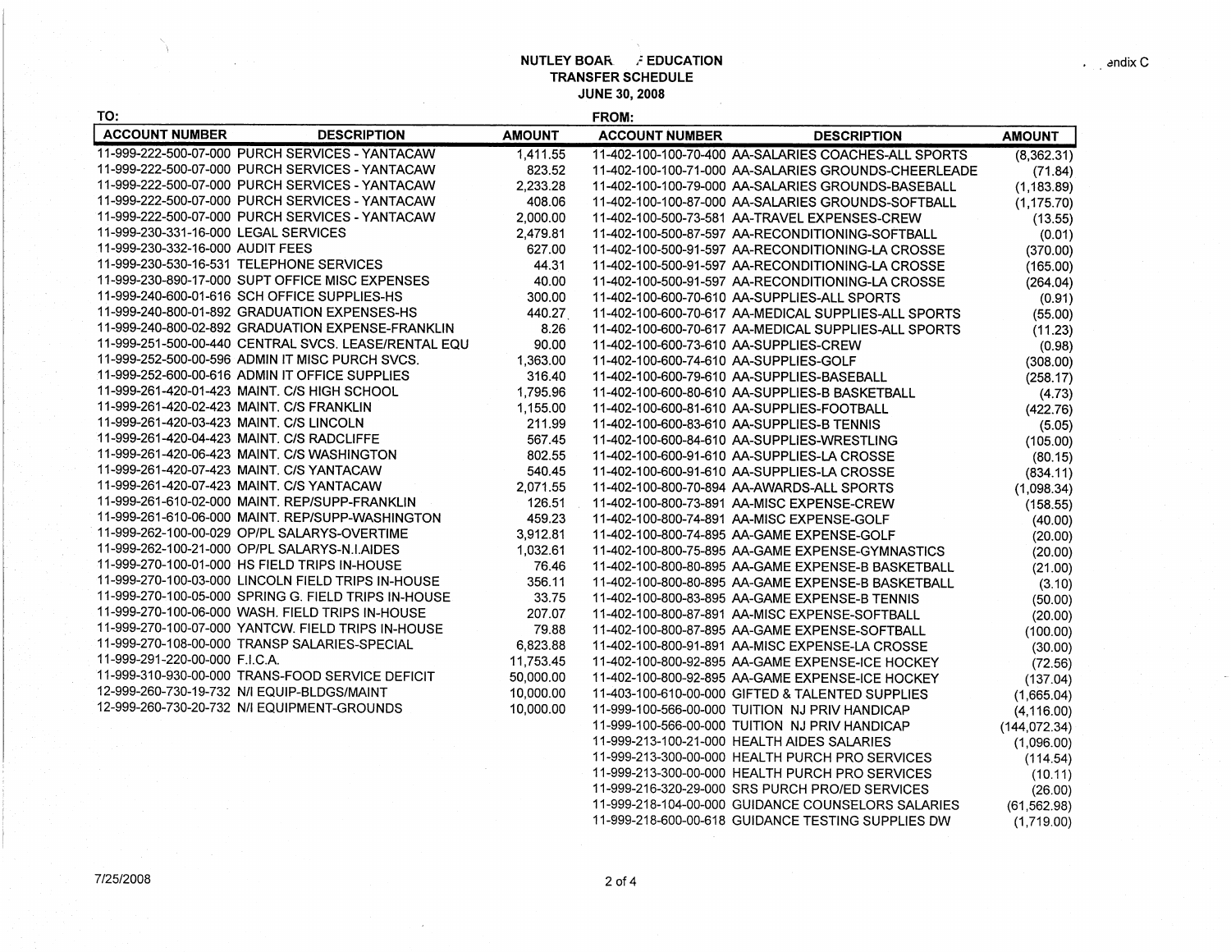## **NUTLEY BOAR. i EDUCATION TRANSFER SCHEDULE JUNE 30, 2008**

(1,719.00)

| S |  |
|---|--|

 $\gamma$ 

| TO:                                                  |               | FROM:                                                |               |
|------------------------------------------------------|---------------|------------------------------------------------------|---------------|
| <b>ACCOUNT NUMBER</b><br><b>DESCRIPTION</b>          | <b>AMOUNT</b> | <b>ACCOUNT NUMBER</b><br><b>DESCRIPTION</b>          | <b>AMOUNT</b> |
| 11-999-222-500-07-000 PURCH SERVICES - YANTACAW      | 1,411.55      | 11-402-100-100-70-400 AA-SALARIES COACHES-ALL SPORTS | (8,362.31)    |
| 11-999-222-500-07-000 PURCH SERVICES - YANTACAW      | 823.52        | 11-402-100-100-71-000 AA-SALARIES GROUNDS-CHEERLEADE | (71.84)       |
| 11-999-222-500-07-000 PURCH SERVICES - YANTACAW      | 2,233.28      | 11-402-100-100-79-000 AA-SALARIES GROUNDS-BASEBALL   | (1, 183.89)   |
| 11-999-222-500-07-000 PURCH SERVICES - YANTACAW      | 408.06        | 11-402-100-100-87-000 AA-SALARIES GROUNDS-SOFTBALL   | (1, 175.70)   |
| 11-999-222-500-07-000 PURCH SERVICES - YANTACAW      | 2,000.00      | 11-402-100-500-73-581 AA-TRAVEL EXPENSES-CREW        | (13.55)       |
| 11-999-230-331-16-000 LEGAL SERVICES                 | 2,479.81      | 11-402-100-500-87-597 AA-RECONDITIONING-SOFTBALL     | (0.01)        |
| 11-999-230-332-16-000 AUDIT FEES                     | 627.00        | 11-402-100-500-91-597 AA-RECONDITIONING-LA CROSSE    | (370.00)      |
| 11-999-230-530-16-531 TELEPHONE SERVICES             | 44.31         | 11-402-100-500-91-597 AA-RECONDITIONING-LA CROSSE    | (165.00)      |
| 11-999-230-890-17-000 SUPT OFFICE MISC EXPENSES      | 40.00         | 11-402-100-500-91-597 AA-RECONDITIONING-LA CROSSE    | (264.04)      |
| 11-999-240-600-01-616 SCH OFFICE SUPPLIES-HS         | 300.00        | 11-402-100-600-70-610 AA-SUPPLIES-ALL SPORTS         | (0.91)        |
| 11-999-240-800-01-892 GRADUATION EXPENSES-HS         | 440.27        | 11-402-100-600-70-617 AA-MEDICAL SUPPLIES-ALL SPORTS | (55.00)       |
| 11-999-240-800-02-892 GRADUATION EXPENSE-FRANKLIN    | 8.26          | 11-402-100-600-70-617 AA-MEDICAL SUPPLIES-ALL SPORTS | (11.23)       |
| 11-999-251-500-00-440 CENTRAL SVCS. LEASE/RENTAL EQU | 90.00         | 11-402-100-600-73-610 AA-SUPPLIES-CREW               | (0.98)        |
| 11-999-252-500-00-596 ADMIN IT MISC PURCH SVCS.      | 1,363.00      | 11-402-100-600-74-610 AA-SUPPLIES-GOLF               | (308.00)      |
| 11-999-252-600-00-616 ADMIN IT OFFICE SUPPLIES       | 316.40        | 11-402-100-600-79-610 AA-SUPPLIES-BASEBALL           | (258.17)      |
| 11-999-261-420-01-423 MAINT, C/S HIGH SCHOOL         | 1,795.96      | 11-402-100-600-80-610 AA-SUPPLIES-B BASKETBALL       | (4.73)        |
| 11-999-261-420-02-423 MAINT, C/S FRANKLIN            | 1.155.00      | 11-402-100-600-81-610 AA-SUPPLIES-FOOTBALL           | (422.76)      |
| 11-999-261-420-03-423 MAINT, C/S LINCOLN             | 211.99        | 11-402-100-600-83-610 AA-SUPPLIES-B TENNIS           | (5.05)        |
| 11-999-261-420-04-423 MAINT, C/S RADCLIFFE           | 567.45        | 11-402-100-600-84-610 AA-SUPPLIES-WRESTLING          | (105.00)      |
| 11-999-261-420-06-423 MAINT, C/S WASHINGTON          | 802.55        | 11-402-100-600-91-610 AA-SUPPLIES-LA CROSSE          | (80.15)       |
| 11-999-261-420-07-423 MAINT, C/S YANTACAW            | 540.45        | 11-402-100-600-91-610 AA-SUPPLIES-LA CROSSE          | (834.11)      |
| 11-999-261-420-07-423 MAINT, C/S YANTACAW            | 2.071.55      | 11-402-100-800-70-894 AA-AWARDS-ALL SPORTS           | (1,098.34)    |
| 11-999-261-610-02-000 MAINT, REP/SUPP-FRANKLIN       | 126.51        | 11-402-100-800-73-891 AA-MISC EXPENSE-CREW           | (158.55)      |
| 11-999-261-610-06-000 MAINT, REP/SUPP-WASHINGTON     | 459.23        | 11-402-100-800-74-891 AA-MISC EXPENSE-GOLF           | (40.00)       |
| 11-999-262-100-00-029 OP/PL SALARYS-OVERTIME         | 3,912.81      | 11-402-100-800-74-895 AA-GAME EXPENSE-GOLF           | (20.00)       |
| 11-999-262-100-21-000 OP/PL SALARYS-N.I.AIDES        | 1,032.61      | 11-402-100-800-75-895 AA-GAME EXPENSE-GYMNASTICS     | (20.00)       |
| 11-999-270-100-01-000 HS FIELD TRIPS IN-HOUSE        | 76.46         | 11-402-100-800-80-895 AA-GAME EXPENSE-B BASKETBALL   | (21.00)       |
| 11-999-270-100-03-000 LINCOLN FIELD TRIPS IN-HOUSE   | 356.11        | 11-402-100-800-80-895 AA-GAME EXPENSE-B BASKETBALL   | (3.10)        |
| 11-999-270-100-05-000 SPRING G. FIELD TRIPS IN-HOUSE | 33.75         | 11-402-100-800-83-895 AA-GAME EXPENSE-B TENNIS       | (50.00)       |
| 11-999-270-100-06-000 WASH. FIELD TRIPS IN-HOUSE     | 207.07        | 11-402-100-800-87-891 AA-MISC EXPENSE-SOFTBALL       | (20.00)       |
| 11-999-270-100-07-000 YANTCW, FIELD TRIPS IN-HOUSE   | 79.88         | 11-402-100-800-87-895 AA-GAME EXPENSE-SOFTBALL       | (100.00)      |
| 11-999-270-108-00-000 TRANSP SALARIES-SPECIAL        | 6,823.88      | 11-402-100-800-91-891 AA-MISC EXPENSE-LA CROSSE      | (30.00)       |
| 11-999-291-220-00-000 F.I.C.A.                       | 11,753.45     | 11-402-100-800-92-895 AA-GAME EXPENSE-ICE HOCKEY     | (72.56)       |
| 11-999-310-930-00-000 TRANS-FOOD SERVICE DEFICIT     | 50,000.00     | 11-402-100-800-92-895 AA-GAME EXPENSE-ICE HOCKEY     | (137.04)      |
| 12-999-260-730-19-732 N/I EQUIP-BLDGS/MAINT          | 10,000.00     | 11-403-100-610-00-000 GIFTED & TALENTED SUPPLIES     | (1,665.04)    |
| 12-999-260-730-20-732 N/I EQUIPMENT-GROUNDS          | 10,000.00     | 11-999-100-566-00-000 TUITION NJ PRIV HANDICAP       | (4, 116.00)   |
|                                                      |               | 11-999-100-566-00-000 TUITION NJ PRIV HANDICAP       | (144, 072.34) |
|                                                      |               | 11-999-213-100-21-000 HEALTH AIDES SALARIES          | (1,096.00)    |
|                                                      |               | 11-999-213-300-00-000 HEALTH PURCH PRO SERVICES      | (114.54)      |
|                                                      |               | 11-999-213-300-00-000 HEALTH PURCH PRO SERVICES      | (10.11)       |
|                                                      |               | 11-999-216-320-29-000 SRS PURCH PRO/ED SERVICES      | (26.00)       |
|                                                      |               | 11-999-218-104-00-000 GUIDANCE COUNSELORS SALARIES   | (61.562.98)   |

11-999-218-600-00-618 GUIDANCE TESTING SUPPLIES DW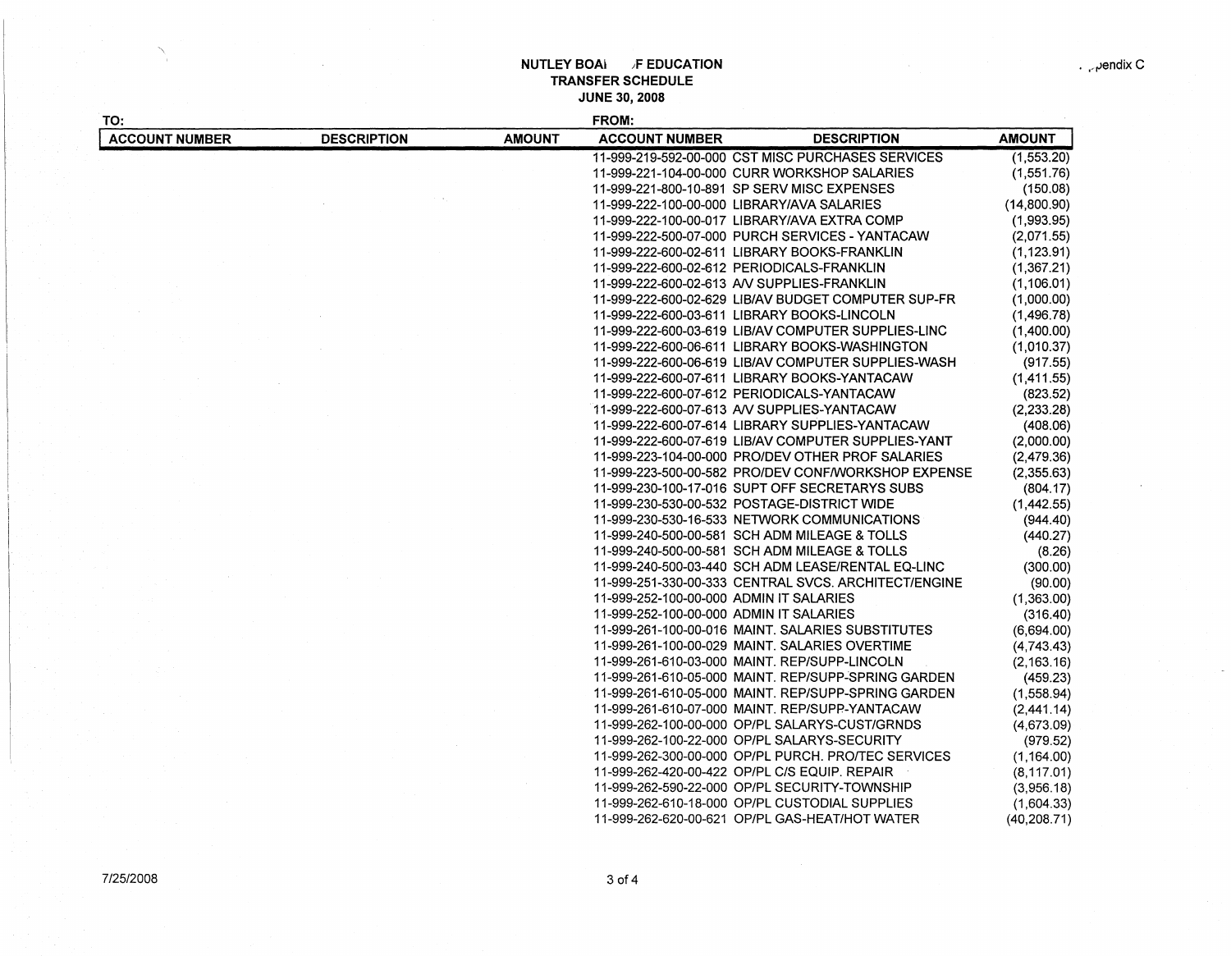## **NUTLEY BOAI F EDUCATION TRANSFER SCHEDULE JUNE** 30, **2008**

| TO:                   |                    |               | FROM:                                          |                                                                                                            |               |
|-----------------------|--------------------|---------------|------------------------------------------------|------------------------------------------------------------------------------------------------------------|---------------|
| <b>ACCOUNT NUMBER</b> | <b>DESCRIPTION</b> | <b>AMOUNT</b> | <b>ACCOUNT NUMBER</b>                          | <b>DESCRIPTION</b>                                                                                         | <b>AMOUNT</b> |
|                       |                    |               |                                                | 11-999-219-592-00-000 CST MISC PURCHASES SERVICES                                                          | (1,553.20)    |
|                       |                    |               | 11-999-221-104-00-000 CURR WORKSHOP SALARIES   |                                                                                                            | (1,551.76)    |
|                       |                    |               | 11-999-221-800-10-891 SP SERV MISC EXPENSES    |                                                                                                            | (150.08)      |
|                       |                    |               | 11-999-222-100-00-000 LIBRARY/AVA SALARIES     |                                                                                                            | (14,800.90)   |
|                       |                    |               | 11-999-222-100-00-017 LIBRARY/AVA EXTRA COMP   |                                                                                                            | (1,993.95)    |
|                       |                    |               |                                                | 11-999-222-500-07-000 PURCH SERVICES - YANTACAW                                                            | (2,071.55)    |
|                       |                    |               | 11-999-222-600-02-611 LIBRARY BOOKS-FRANKLIN   |                                                                                                            | (1, 123.91)   |
|                       |                    |               | 11-999-222-600-02-612 PERIODICALS-FRANKLIN     |                                                                                                            | (1,367.21)    |
|                       |                    |               | 11-999-222-600-02-613 AV SUPPLIES-FRANKLIN     |                                                                                                            | (1, 106.01)   |
|                       |                    |               |                                                | 11-999-222-600-02-629 LIB/AV BUDGET COMPUTER SUP-FR                                                        | (1,000.00)    |
|                       |                    |               | 11-999-222-600-03-611 LIBRARY BOOKS-LINCOLN    |                                                                                                            | (1,496.78)    |
|                       |                    |               |                                                | 11-999-222-600-03-619 LIB/AV COMPUTER SUPPLIES-LINC                                                        | (1,400.00)    |
|                       |                    |               |                                                | 11-999-222-600-06-611 LIBRARY BOOKS-WASHINGTON                                                             | (1,010.37)    |
|                       |                    |               |                                                | 11-999-222-600-06-619 LIB/AV COMPUTER SUPPLIES-WASH                                                        | (917.55)      |
|                       |                    |               | 11-999-222-600-07-611 LIBRARY BOOKS-YANTACAW   |                                                                                                            | (1,411.55)    |
|                       |                    |               | 11-999-222-600-07-612 PERIODICALS-YANTACAW     |                                                                                                            | (823.52)      |
|                       |                    |               | 11-999-222-600-07-613 AV SUPPLIES-YANTACAW     |                                                                                                            | (2,233.28)    |
|                       |                    |               |                                                | 11-999-222-600-07-614 LIBRARY SUPPLIES-YANTACAW                                                            | (408.06)      |
|                       |                    |               |                                                | 11-999-222-600-07-619 LIB/AV COMPUTER SUPPLIES-YANT                                                        | (2,000.00)    |
|                       |                    |               |                                                | 11-999-223-104-00-000 PRO/DEV OTHER PROF SALARIES                                                          | (2,479.36)    |
|                       |                    |               |                                                | 11-999-223-500-00-582 PRO/DEV CONF/WORKSHOP EXPENSE                                                        | (2,355.63)    |
|                       |                    |               | 11-999-230-100-17-016 SUPT OFF SECRETARYS SUBS |                                                                                                            | (804.17)      |
|                       |                    |               | 11-999-230-530-00-532 POSTAGE-DISTRICT WIDE    |                                                                                                            | (1,442.55)    |
|                       |                    |               | 11-999-230-530-16-533 NETWORK COMMUNICATIONS   |                                                                                                            | (944.40)      |
|                       |                    |               | 11-999-240-500-00-581 SCH ADM MILEAGE & TOLLS  |                                                                                                            |               |
|                       |                    |               | 11-999-240-500-00-581 SCH ADM MILEAGE & TOLLS  |                                                                                                            | (440.27)      |
|                       |                    |               |                                                |                                                                                                            | (8.26)        |
|                       |                    |               |                                                | 11-999-240-500-03-440 SCH ADM LEASE/RENTAL EQ-LINC<br>11-999-251-330-00-333 CENTRAL SVCS. ARCHITECT/ENGINE | (300.00)      |
|                       |                    |               |                                                |                                                                                                            | (90.00)       |
|                       |                    |               | 11-999-252-100-00-000 ADMIN IT SALARIES        |                                                                                                            | (1,363.00)    |
|                       |                    |               | 11-999-252-100-00-000 ADMIN IT SALARIES        |                                                                                                            | (316.40)      |
|                       |                    |               |                                                | 11-999-261-100-00-016 MAINT. SALARIES SUBSTITUTES                                                          | (6,694.00)    |
|                       |                    |               | 11-999-261-100-00-029 MAINT. SALARIES OVERTIME |                                                                                                            | (4,743.43)    |
|                       |                    |               | 11-999-261-610-03-000 MAINT. REP/SUPP-LINCOLN  |                                                                                                            | (2, 163.16)   |
|                       |                    |               |                                                | 11-999-261-610-05-000 MAINT, REP/SUPP-SPRING GARDEN                                                        | (459.23)      |
|                       |                    |               |                                                | 11-999-261-610-05-000 MAINT. REP/SUPP-SPRING GARDEN                                                        | (1,558.94)    |
|                       |                    |               | 11-999-261-610-07-000 MAINT, REP/SUPP-YANTACAW |                                                                                                            | (2,441.14)    |
|                       |                    |               | 11-999-262-100-00-000 OP/PL SALARYS-CUST/GRNDS |                                                                                                            | (4,673.09)    |
|                       |                    |               | 11-999-262-100-22-000 OP/PL SALARYS-SECURITY   |                                                                                                            | (979.52)      |
|                       |                    |               |                                                | 11-999-262-300-00-000 OP/PL PURCH. PRO/TEC SERVICES                                                        | (1, 164.00)   |
|                       |                    |               | 11-999-262-420-00-422 OP/PL C/S EQUIP. REPAIR  |                                                                                                            | (8, 117.01)   |
|                       |                    |               | 11-999-262-590-22-000 OP/PL SECURITY-TOWNSHIP  |                                                                                                            | (3,956.18)    |
|                       |                    |               | 11-999-262-610-18-000 OP/PL CUSTODIAL SUPPLIES |                                                                                                            | (1,604.33)    |
|                       |                    |               | 11-999-262-620-00-621 OP/PL GAS-HEAT/HOT WATER |                                                                                                            | (40, 208.71)  |

 $\tilde{a}$